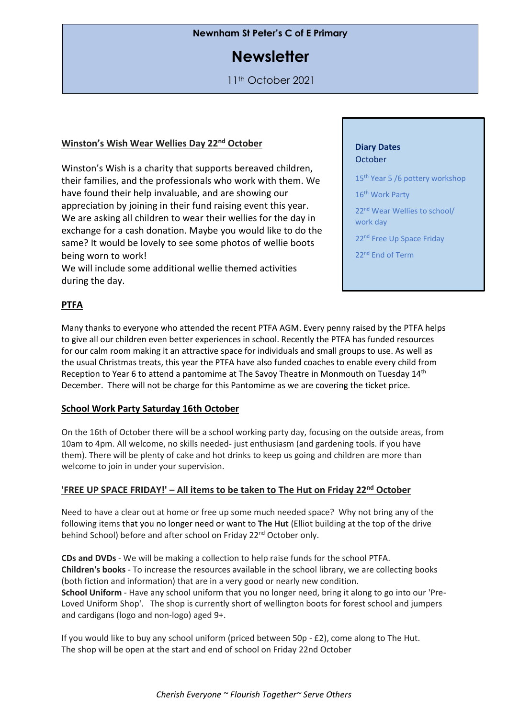## **Newnham St Peter's C of E Primary**

# **Newsletter**

11th October 2021

### **Winston's Wish Wear Wellies Day 22nd October**

Winston's Wish is a charity that supports bereaved children, their families, and the professionals who work with them. We have found their help invaluable, and are showing our appreciation by joining in their fund raising event this year. We are asking all children to wear their wellies for the day in exchange for a cash donation. Maybe you would like to do the same? It would be lovely to see some photos of wellie boots being worn to work!

We will include some additional wellie themed activities during the day.

#### **Diary Dates October**

- 15<sup>th</sup> Year 5 /6 pottery workshop
- 16<sup>th</sup> Work Party
- 22nd Wear Wellies to school/ work day
- 22<sup>nd</sup> Free Up Space Friday
- 22nd End of Term

## **PTFA**

Many thanks to everyone who attended the recent PTFA AGM. Every penny raised by the PTFA helps to give all our children even better experiences in school. Recently the PTFA has funded resources for our calm room making it an attractive space for individuals and small groups to use. As well as the usual Christmas treats, this year the PTFA have also funded coaches to enable every child from Reception to Year 6 to attend a pantomime at The Savoy Theatre in Monmouth on Tuesday 14<sup>th</sup> December. There will not be charge for this Pantomime as we are covering the ticket price.

#### **School Work Party Saturday 16th October**

On the 16th of October there will be a school working party day, focusing on the outside areas, from 10am to 4pm. All welcome, no skills needed- just enthusiasm (and gardening tools. if you have them). There will be plenty of cake and hot drinks to keep us going and children are more than welcome to join in under your supervision.

#### **'FREE UP SPACE FRIDAY!' – All items to be taken to The Hut on Friday 22nd October**

Need to have a clear out at home or free up some much needed space? Why not bring any of the following items that you no longer need or want to **The Hut** (Elliot building at the top of the drive behind School) before and after school on Friday 22<sup>nd</sup> October only.

**CDs and DVDs** - We will be making a collection to help raise funds for the school PTFA. **Children's books** - To increase the resources available in the school library, we are collecting books (both fiction and information) that are in a very good or nearly new condition. **School Uniform** - Have any school uniform that you no longer need, bring it along to go into our 'Pre-Loved Uniform Shop'. The shop is currently short of wellington boots for forest school and jumpers and cardigans (logo and non-logo) aged 9+.

If you would like to buy any school uniform (priced between 50p - £2), come along to The Hut. The shop will be open at the start and end of school on Friday 22nd October